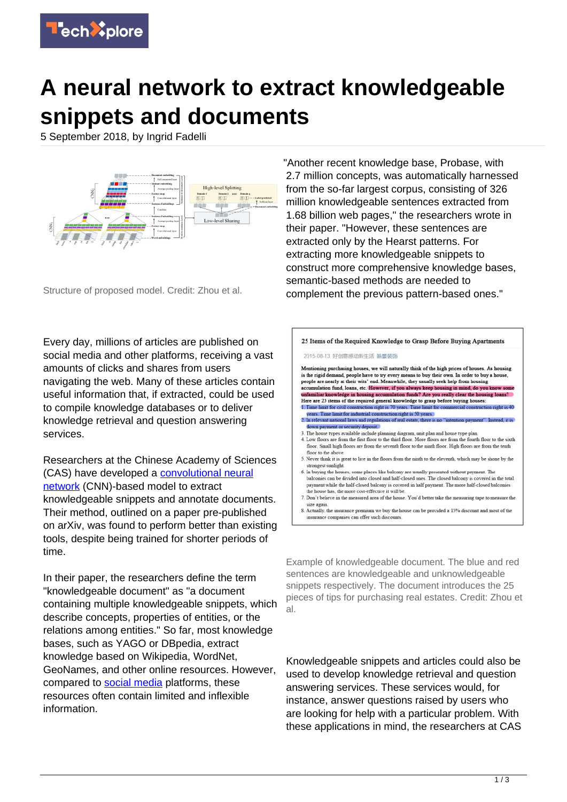

## **A neural network to extract knowledgeable snippets and documents**

5 September 2018, by Ingrid Fadelli



Structure of proposed model. Credit: Zhou et al.

Every day, millions of articles are published on social media and other platforms, receiving a vast amounts of clicks and shares from users navigating the web. Many of these articles contain useful information that, if extracted, could be used to compile knowledge databases or to deliver knowledge retrieval and question answering services.

Researchers at the Chinese Academy of Sciences (CAS) have developed a **convolutional neural** [network](https://techxplore.com/tags/convolutional+neural+network/) (CNN)-based model to extract knowledgeable snippets and annotate documents. Their method, outlined on a paper pre-published on arXiv, was found to perform better than existing tools, despite being trained for shorter periods of time.

In their paper, the researchers define the term "knowledgeable document" as "a document containing multiple knowledgeable snippets, which describe concepts, properties of entities, or the relations among entities." So far, most knowledge bases, such as YAGO or DBpedia, extract knowledge based on Wikipedia, WordNet, GeoNames, and other online resources. However, compared to [social media](https://techxplore.com/tags/social+media/) platforms, these resources often contain limited and inflexible information.

"Another recent knowledge base, Probase, with 2.7 million concepts, was automatically harnessed from the so-far largest corpus, consisting of 326 million knowledgeable sentences extracted from 1.68 billion web pages," the researchers wrote in their paper. "However, these sentences are extracted only by the Hearst patterns. For extracting more knowledgeable snippets to construct more comprehensive knowledge bases, semantic-based methods are needed to complement the previous pattern-based ones."



Example of knowledgeable document. The blue and red sentences are knowledgeable and unknowledgeable snippets respectively. The document introduces the 25 pieces of tips for purchasing real estates. Credit: Zhou et al.

Knowledgeable snippets and articles could also be used to develop knowledge retrieval and question answering services. These services would, for instance, answer questions raised by users who are looking for help with a particular problem. With these applications in mind, the researchers at CAS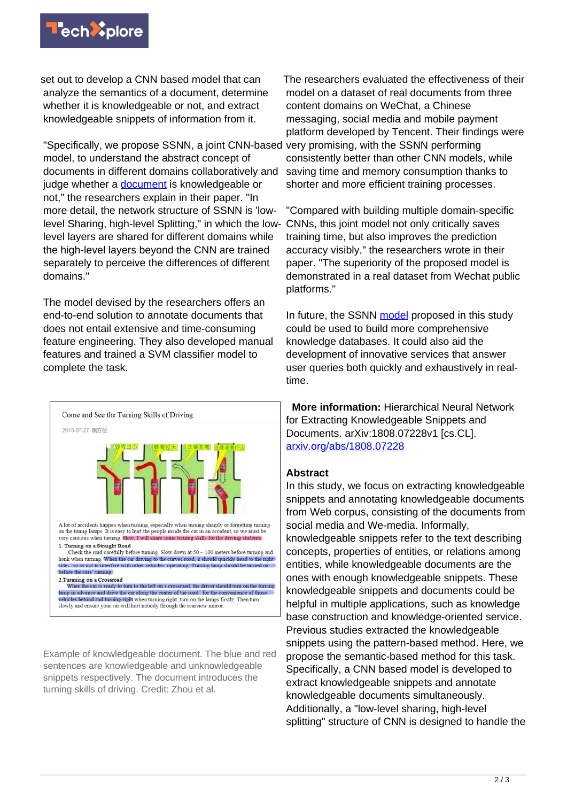

set out to develop a CNN based model that can analyze the semantics of a document, determine whether it is knowledgeable or not, and extract knowledgeable snippets of information from it.

"Specifically, we propose SSNN, a joint CNN-based very promising, with the SSNN performing model, to understand the abstract concept of documents in different domains collaboratively and judge whether a [document](https://techxplore.com/tags/document/) is knowledgeable or not," the researchers explain in their paper. "In more detail, the network structure of SSNN is 'lowlevel Sharing, high-level Splitting," in which the lowlevel layers are shared for different domains while the high-level layers beyond the CNN are trained separately to perceive the differences of different domains."

The model devised by the researchers offers an end-to-end solution to annotate documents that does not entail extensive and time-consuming feature engineering. They also developed manual features and trained a SVM classifier model to complete the task.



Example of knowledgeable document. The blue and red sentences are knowledgeable and unknowledgeable snippets respectively. The document introduces the turning skills of driving. Credit: Zhou et al.

The researchers evaluated the effectiveness of their model on a dataset of real documents from three content domains on WeChat, a Chinese messaging, social media and mobile payment platform developed by Tencent. Their findings were consistently better than other CNN models, while saving time and memory consumption thanks to shorter and more efficient training processes.

"Compared with building multiple domain-specific CNNs, this joint model not only critically saves training time, but also improves the prediction accuracy visibly," the researchers wrote in their paper. "The superiority of the proposed model is demonstrated in a real dataset from Wechat public platforms."

In future, the SSNN [model](https://techxplore.com/tags/model/) proposed in this study could be used to build more comprehensive knowledge databases. It could also aid the development of innovative services that answer user queries both quickly and exhaustively in realtime.

 **More information:** Hierarchical Neural Network for Extracting Knowledgeable Snippets and Documents. arXiv:1808.07228v1 [cs.CL]. [arxiv.org/abs/1808.07228](https://arxiv.org/abs/1808.07228)

## **Abstract**

In this study, we focus on extracting knowledgeable snippets and annotating knowledgeable documents from Web corpus, consisting of the documents from social media and We-media. Informally, knowledgeable snippets refer to the text describing concepts, properties of entities, or relations among entities, while knowledgeable documents are the ones with enough knowledgeable snippets. These knowledgeable snippets and documents could be helpful in multiple applications, such as knowledge base construction and knowledge-oriented service. Previous studies extracted the knowledgeable snippets using the pattern-based method. Here, we propose the semantic-based method for this task. Specifically, a CNN based model is developed to extract knowledgeable snippets and annotate knowledgeable documents simultaneously. Additionally, a "low-level sharing, high-level splitting" structure of CNN is designed to handle the